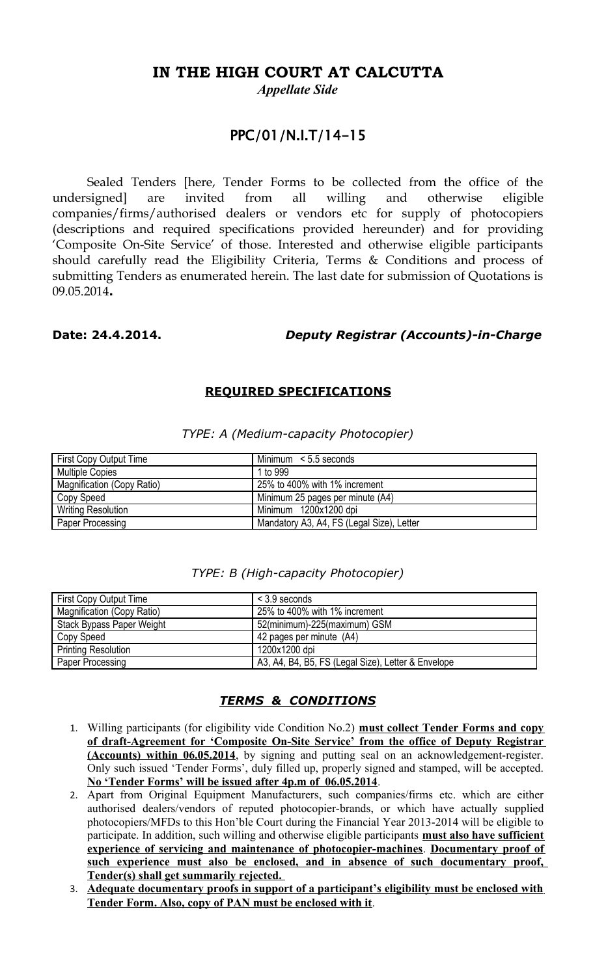## **IN THE HIGH COURT AT CALCUTTA**

*Appellate Side*

### PPC/01/N.I.T/14-15

Sealed Tenders [here, Tender Forms to be collected from the office of the undersigned] are invited from all willing and otherwise eligible companies/firms/authorised dealers or vendors etc for supply of photocopiers (descriptions and required specifications provided hereunder) and for providing 'Composite On-Site Service' of those. Interested and otherwise eligible participants should carefully read the Eligibility Criteria, Terms & Conditions and process of submitting Tenders as enumerated herein. The last date for submission of Quotations is 09.05.2014**.** 

#### **Date: 24.4.2014.** *Deputy Registrar (Accounts)-in-Charge*

#### **REQUIRED SPECIFICATIONS**

| First Copy Output Time     | Minimum $\le$ 5.5 seconds                 |
|----------------------------|-------------------------------------------|
| <b>Multiple Copies</b>     | 1 to 999                                  |
| Magnification (Copy Ratio) | 25% to 400% with 1% increment             |
| Copy Speed                 | Minimum 25 pages per minute (A4)          |
| <b>Writing Resolution</b>  | Minimum 1200x1200 dpi                     |
| Paper Processing           | Mandatory A3, A4, FS (Legal Size), Letter |

#### *TYPE: A (Medium-capacity Photocopier)*

| First Copy Output Time     | $<$ 3.9 seconds               |
|----------------------------|-------------------------------|
| Magnification (Copy Ratio) | 25% to 400% with 1% increment |
| Stack Bypass Paper Weight  | 52(minimum)-225(maximum) GSM  |
| Copy Speed                 | 42 pages per minute (A4)      |
| Printing Resolution        | 1200x1200 dpi                 |

Paper Processing A3, A4, B4, B5, FS (Legal Size), Letter & Envelope

#### *TYPE: B (High-capacity Photocopier)*

#### *TERMS & CONDITIONS*

- 1. Willing participants (for eligibility vide Condition No.2) **must collect Tender Forms and copy of draft-Agreement for 'Composite On-Site Service' from the office of Deputy Registrar (Accounts) within 06.05.2014**, by signing and putting seal on an acknowledgement-register. Only such issued 'Tender Forms', duly filled up, properly signed and stamped, will be accepted. **No 'Tender Forms' will be issued after 4p.m of 06.05.2014**.
- 2. Apart from Original Equipment Manufacturers, such companies/firms etc. which are either authorised dealers/vendors of reputed photocopier-brands, or which have actually supplied photocopiers/MFDs to this Hon'ble Court during the Financial Year 2013-2014 will be eligible to participate. In addition, such willing and otherwise eligible participants **must also have sufficient experience of servicing and maintenance of photocopier-machines**. **Documentary proof of such experience must also be enclosed, and in absence of such documentary proof, Tender(s) shall get summarily rejected.**
- 3. **Adequate documentary proofs in support of a participant's eligibility must be enclosed with Tender Form. Also, copy of PAN must be enclosed with it**.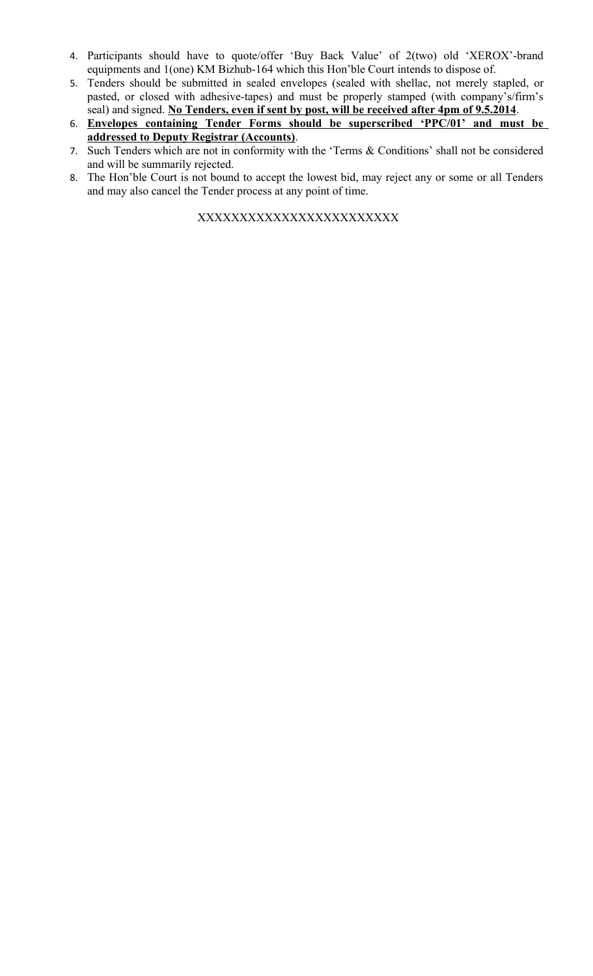- 4. Participants should have to quote/offer 'Buy Back Value' of 2(two) old 'XEROX'-brand equipments and 1(one) KM Bizhub-164 which this Hon'ble Court intends to dispose of.
- 5. Tenders should be submitted in sealed envelopes (sealed with shellac, not merely stapled, or pasted, or closed with adhesive-tapes) and must be properly stamped (with company's/firm's seal) and signed. **No Tenders, even if sent by post, will be received after 4pm of 9.5.2014**.
- 6. **Envelopes containing Tender Forms should be superscribed 'PPC/01' and must be addressed to Deputy Registrar (Accounts)**.
- 7. Such Tenders which are not in conformity with the 'Terms & Conditions' shall not be considered and will be summarily rejected.
- 8. The Hon'ble Court is not bound to accept the lowest bid, may reject any or some or all Tenders and may also cancel the Tender process at any point of time.

XXXXXXXXXXXXXXXXXXXXXXXX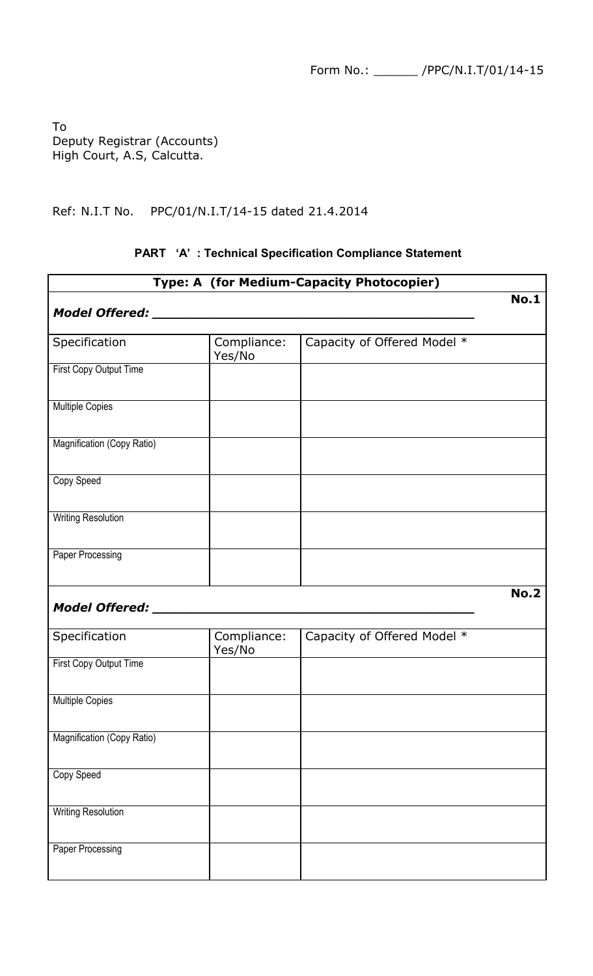Form No.: \_\_\_\_\_\_ /PPC/N.I.T/01/14-15

To Deputy Registrar (Accounts) High Court, A.S, Calcutta.

Ref: N.I.T No. PPC/01/N.I.T/14-15 dated 21.4.2014

# **Type: A (for Medium-Capacity Photocopier) No.1** *Model Offered: \_\_\_\_\_\_\_\_\_\_\_\_\_\_\_\_\_\_\_\_\_\_\_\_\_\_\_\_\_\_\_\_\_\_\_\_\_\_\_*  Specification Compliance: Yes/No Capacity of Offered Model \* First Copy Output Time Multiple Copies Magnification (Copy Ratio) Copy Speed Writing Resolution Paper Processing **No.2** *Model Offered:* Specification Compliance: Yes/No Capacity of Offered Model \* First Copy Output Time Multiple Copies Magnification (Copy Ratio) Copy Speed Writing Resolution Paper Processing

#### **PART 'A' : Technical Specification Compliance Statement**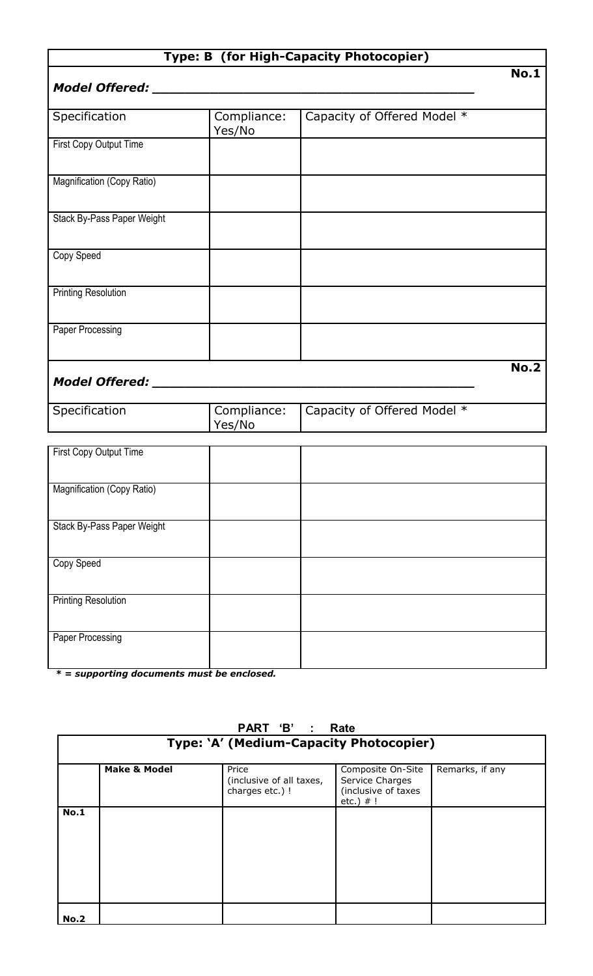### **Type: B (for High-Capacity Photocopier)**

#### *Model Offered:* \_\_\_

| Specification                 | Compliance:<br>Yes/No | Capacity of Offered Model * |
|-------------------------------|-----------------------|-----------------------------|
| <b>First Copy Output Time</b> |                       |                             |
| Magnification (Copy Ratio)    |                       |                             |
| Stack By-Pass Paper Weight    |                       |                             |
| Copy Speed                    |                       |                             |
| <b>Printing Resolution</b>    |                       |                             |
| Paper Processing              |                       |                             |
|                               |                       | <b>No.2</b>                 |

# *Model Offered: \_\_\_\_\_\_\_\_\_\_\_\_\_\_\_\_\_\_\_\_\_\_\_\_\_\_\_\_\_\_\_\_\_\_\_\_\_\_\_*

| Specification | Yes/No | <sup>1</sup> Compliance:   Capacity of Offered Model * |
|---------------|--------|--------------------------------------------------------|

| First Copy Output Time     |  |
|----------------------------|--|
|                            |  |
|                            |  |
|                            |  |
| Magnification (Copy Ratio) |  |
|                            |  |
|                            |  |
|                            |  |
| Stack By-Pass Paper Weight |  |
|                            |  |
|                            |  |
|                            |  |
|                            |  |
| Copy Speed                 |  |
|                            |  |
|                            |  |
|                            |  |
| <b>Printing Resolution</b> |  |
|                            |  |
|                            |  |
|                            |  |
| Paper Processing           |  |
|                            |  |
|                            |  |
|                            |  |

 *\* = supporting documents must be enclosed.* 

# **Type: 'A' (Medium-Capacity Photocopier) Make & Model Price** (inclusive of all taxes, charges etc.) ! Composite On-Site Service Charges (inclusive of taxes  $etc.)$  # ! Remarks, if any **No.1 No.2**

# **PART 'B' : Rate**

**No.1**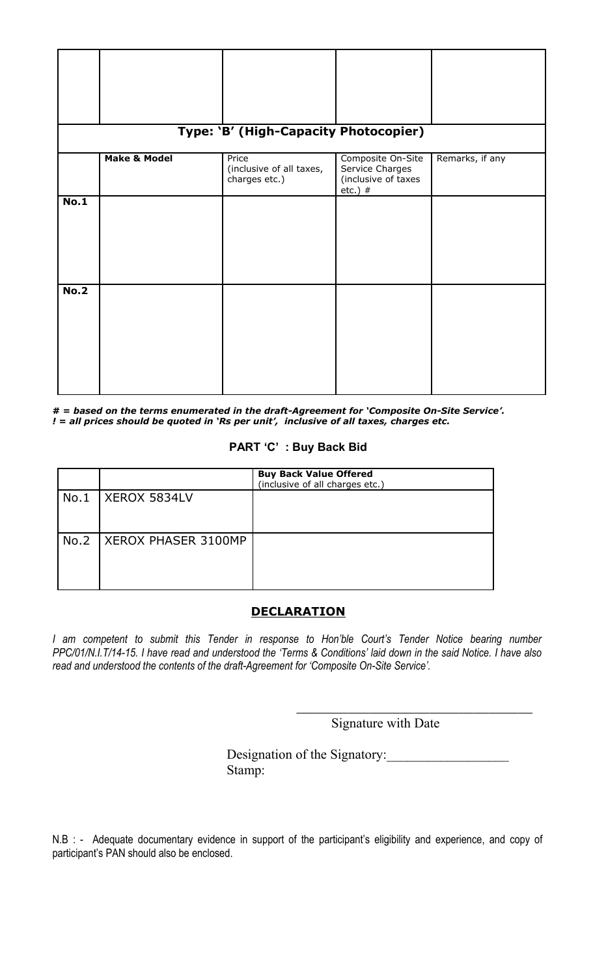|             |                         | Type: 'B' (High-Capacity Photocopier)              |                                                                          |                 |
|-------------|-------------------------|----------------------------------------------------|--------------------------------------------------------------------------|-----------------|
|             | <b>Make &amp; Model</b> | Price<br>(inclusive of all taxes,<br>charges etc.) | Composite On-Site<br>Service Charges<br>(inclusive of taxes<br>etc.) $#$ | Remarks, if any |
| No.1        |                         |                                                    |                                                                          |                 |
| <b>No.2</b> |                         |                                                    |                                                                          |                 |

**# =** *based on the terms enumerated in the draft-Agreement for 'Composite On-Site Service'. ! = all prices should be quoted in 'Rs per unit', inclusive of all taxes, charges etc.*

#### **PART 'C' : Buy Back Bid**

|      |                            | <b>Buy Back Value Offered</b><br>(inclusive of all charges etc.) |
|------|----------------------------|------------------------------------------------------------------|
| No.1 | XEROX 5834LV               |                                                                  |
|      |                            |                                                                  |
| No.2 | <b>XEROX PHASER 3100MP</b> |                                                                  |
|      |                            |                                                                  |
|      |                            |                                                                  |

#### **DECLARATION**

*I am competent to submit this Tender in response to Hon'ble Court's Tender Notice bearing number PPC/01/N.I.T/14-15. I have read and understood the 'Terms & Conditions' laid down in the said Notice. I have also read and understood the contents of the draft-Agreement for 'Composite On-Site Service'.* 

Signature with Date

\_\_\_\_\_\_\_\_\_\_\_\_\_\_\_\_\_\_\_\_\_\_\_\_\_\_\_\_\_\_\_\_

Designation of the Signatory: Stamp:

N.B : - Adequate documentary evidence in support of the participant's eligibility and experience, and copy of participant's PAN should also be enclosed.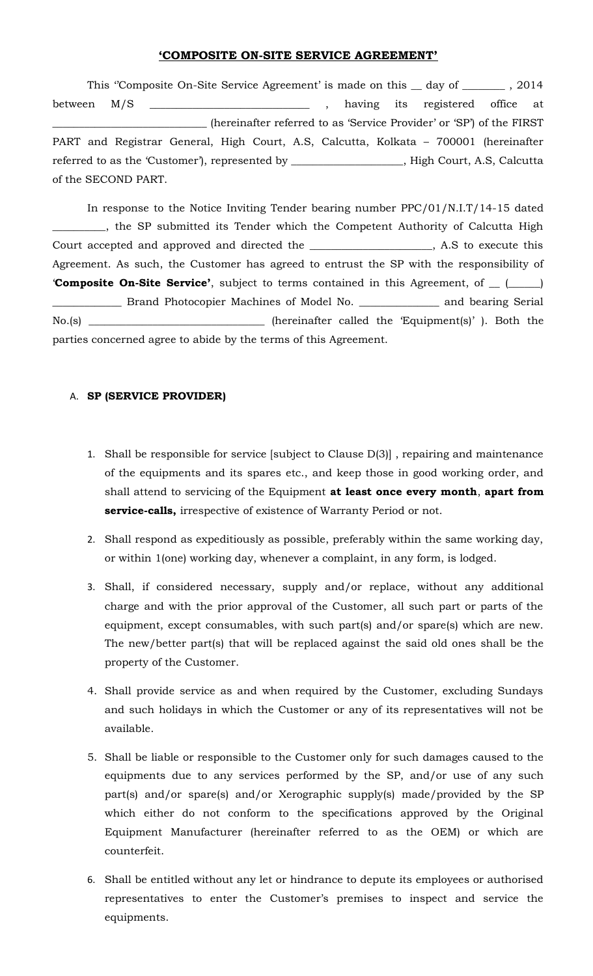#### **'COMPOSITE ON-SITE SERVICE AGREEMENT'**

This "Composite On-Site Service Agreement' is made on this \_ day of \_\_\_\_\_\_\_\_ , 2014 between M/S \_\_\_\_\_\_\_\_\_\_\_\_\_\_\_\_\_\_\_\_\_\_\_\_\_\_\_\_\_\_ , having its registered office at \_\_\_\_\_\_\_\_\_\_\_\_\_\_\_\_\_\_\_\_\_\_\_\_\_\_\_\_\_ (hereinafter referred to as 'Service Provider' or 'SP') of the FIRST PART and Registrar General, High Court, A.S, Calcutta, Kolkata – 700001 (hereinafter referred to as the 'Customer'), represented by \_\_\_\_\_\_\_\_\_\_\_\_\_\_\_\_\_\_\_\_\_, High Court, A.S, Calcutta of the SECOND PART.

In response to the Notice Inviting Tender bearing number PPC/01/N.I.T/14-15 dated \_\_\_\_\_\_\_\_\_\_, the SP submitted its Tender which the Competent Authority of Calcutta High Court accepted and approved and directed the \_\_\_\_\_\_\_\_\_\_\_\_\_\_\_\_\_\_\_\_\_\_\_, A.S to execute this Agreement. As such, the Customer has agreed to entrust the SP with the responsibility of '**Composite On-Site Service'**, subject to terms contained in this Agreement, of \_\_ (\_\_\_\_\_\_) \_\_\_\_\_\_\_\_\_\_\_\_\_ Brand Photocopier Machines of Model No. \_\_\_\_\_\_\_\_\_\_\_\_\_\_\_ and bearing Serial No.(s) \_\_\_\_\_\_\_\_\_\_\_\_\_\_\_\_\_\_\_\_\_\_\_\_\_\_\_\_\_\_\_\_\_ (hereinafter called the 'Equipment(s)' ). Both the parties concerned agree to abide by the terms of this Agreement.

#### A. **SP (SERVICE PROVIDER)**

- 1. Shall be responsible for service [subject to Clause D(3)] , repairing and maintenance of the equipments and its spares etc., and keep those in good working order, and shall attend to servicing of the Equipment **at least once every month**, **apart from service-calls,** irrespective of existence of Warranty Period or not.
- 2. Shall respond as expeditiously as possible, preferably within the same working day, or within 1(one) working day, whenever a complaint, in any form, is lodged.
- 3. Shall, if considered necessary, supply and/or replace, without any additional charge and with the prior approval of the Customer, all such part or parts of the equipment, except consumables, with such part(s) and/or spare(s) which are new. The new/better part(s) that will be replaced against the said old ones shall be the property of the Customer.
- 4. Shall provide service as and when required by the Customer, excluding Sundays and such holidays in which the Customer or any of its representatives will not be available.
- 5. Shall be liable or responsible to the Customer only for such damages caused to the equipments due to any services performed by the SP, and/or use of any such part(s) and/or spare(s) and/or Xerographic supply(s) made/provided by the SP which either do not conform to the specifications approved by the Original Equipment Manufacturer (hereinafter referred to as the OEM) or which are counterfeit.
- 6. Shall be entitled without any let or hindrance to depute its employees or authorised representatives to enter the Customer's premises to inspect and service the equipments.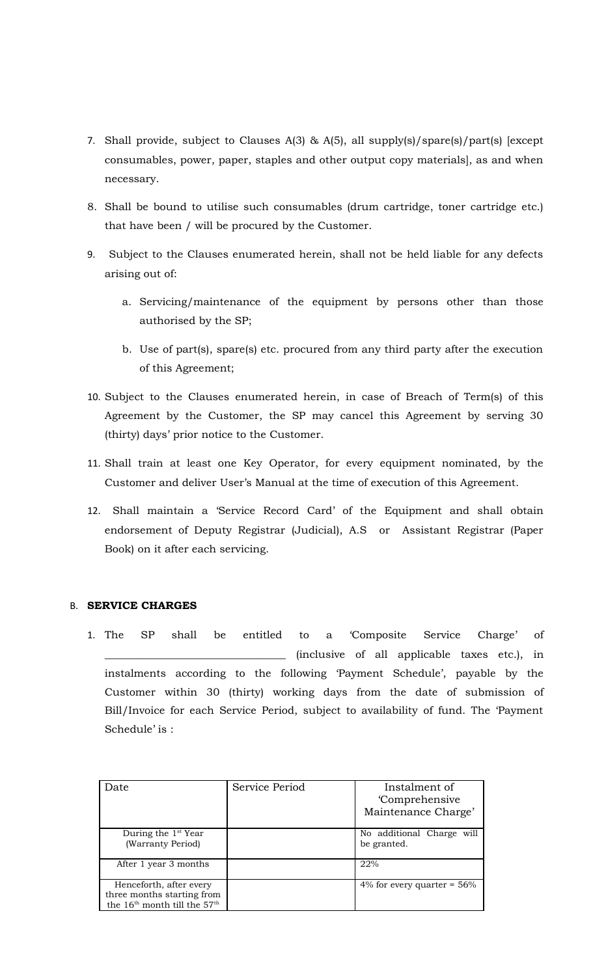- 7. Shall provide, subject to Clauses A(3) & A(5), all supply(s)/spare(s)/part(s) [except consumables, power, paper, staples and other output copy materials], as and when necessary.
- 8. Shall be bound to utilise such consumables (drum cartridge, toner cartridge etc.) that have been / will be procured by the Customer.
- 9. Subject to the Clauses enumerated herein, shall not be held liable for any defects arising out of:
	- a. Servicing/maintenance of the equipment by persons other than those authorised by the SP;
	- b. Use of part(s), spare(s) etc. procured from any third party after the execution of this Agreement;
- 10. Subject to the Clauses enumerated herein, in case of Breach of Term(s) of this Agreement by the Customer, the SP may cancel this Agreement by serving 30 (thirty) days' prior notice to the Customer.
- 11. Shall train at least one Key Operator, for every equipment nominated, by the Customer and deliver User's Manual at the time of execution of this Agreement.
- 12. Shall maintain a 'Service Record Card' of the Equipment and shall obtain endorsement of Deputy Registrar (Judicial), A.S or Assistant Registrar (Paper Book) on it after each servicing.

#### B. **SERVICE CHARGES**

1. The SP shall be entitled to a 'Composite Service Charge' of \_\_\_\_\_\_\_\_\_\_\_\_\_\_\_\_\_\_\_\_\_\_\_\_\_\_\_\_\_\_\_\_\_\_ (inclusive of all applicable taxes etc.), in instalments according to the following 'Payment Schedule', payable by the Customer within 30 (thirty) working days from the date of submission of Bill/Invoice for each Service Period, subject to availability of fund. The 'Payment Schedule' is :

| Date                                                                                                          | Service Period | Instalment of<br><i>Comprehensive</i><br>Maintenance Charge' |
|---------------------------------------------------------------------------------------------------------------|----------------|--------------------------------------------------------------|
| During the $1st$ Year<br>(Warranty Period)                                                                    |                | No additional Charge will<br>be granted.                     |
| After 1 year 3 months                                                                                         |                | 22%                                                          |
| Henceforth, after every<br>three months starting from<br>the 16 <sup>th</sup> month till the 57 <sup>th</sup> |                | 4% for every quarter = $56\%$                                |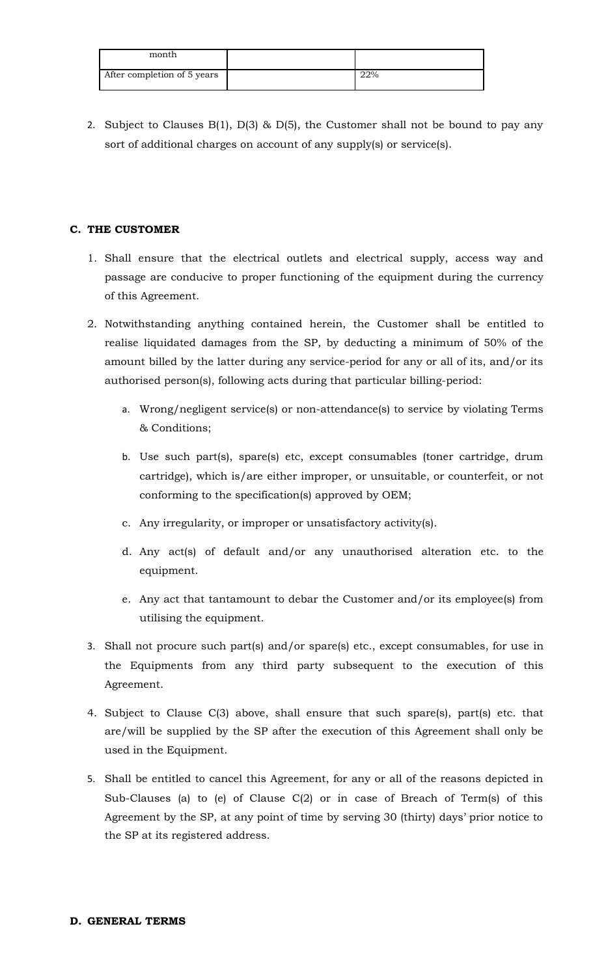| month                       |     |
|-----------------------------|-----|
| After completion of 5 years | 22% |

2. Subject to Clauses  $B(1)$ ,  $D(3)$  &  $D(5)$ , the Customer shall not be bound to pay any sort of additional charges on account of any supply(s) or service(s).

#### **C. THE CUSTOMER**

- 1. Shall ensure that the electrical outlets and electrical supply, access way and passage are conducive to proper functioning of the equipment during the currency of this Agreement.
- 2. Notwithstanding anything contained herein, the Customer shall be entitled to realise liquidated damages from the SP, by deducting a minimum of 50% of the amount billed by the latter during any service-period for any or all of its, and/or its authorised person(s), following acts during that particular billing-period:
	- a. Wrong/negligent service(s) or non-attendance(s) to service by violating Terms & Conditions;
	- b. Use such part(s), spare(s) etc, except consumables (toner cartridge, drum cartridge), which is/are either improper, or unsuitable, or counterfeit, or not conforming to the specification(s) approved by OEM;
	- c. Any irregularity, or improper or unsatisfactory activity(s).
	- d. Any act(s) of default and/or any unauthorised alteration etc. to the equipment.
	- e. Any act that tantamount to debar the Customer and/or its employee(s) from utilising the equipment.
- 3. Shall not procure such part(s) and/or spare(s) etc., except consumables, for use in the Equipments from any third party subsequent to the execution of this Agreement.
- 4. Subject to Clause C(3) above, shall ensure that such spare(s), part(s) etc. that are/will be supplied by the SP after the execution of this Agreement shall only be used in the Equipment.
- 5. Shall be entitled to cancel this Agreement, for any or all of the reasons depicted in Sub-Clauses (a) to (e) of Clause C(2) or in case of Breach of Term(s) of this Agreement by the SP, at any point of time by serving 30 (thirty) days' prior notice to the SP at its registered address.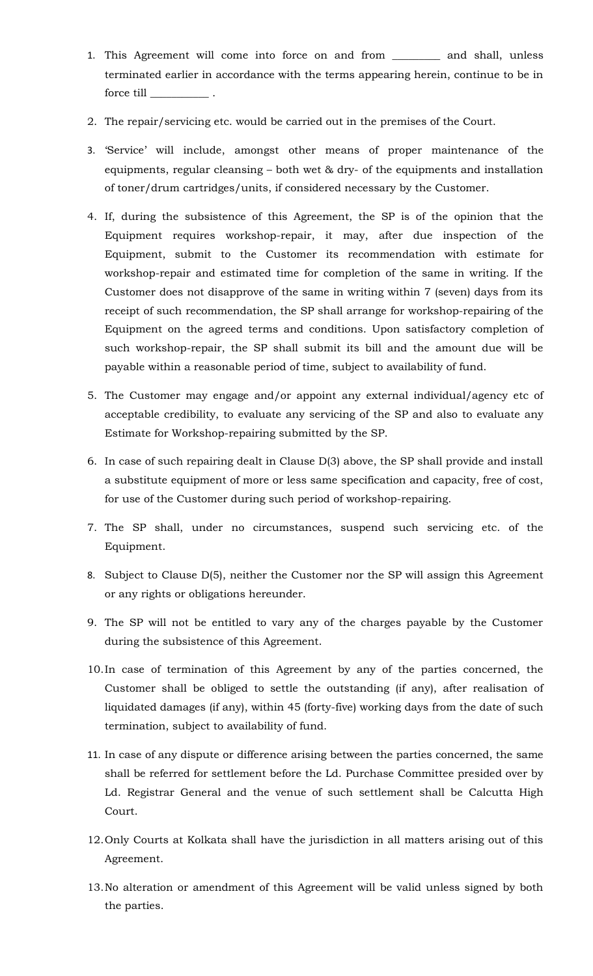- 1. This Agreement will come into force on and from \_\_\_\_\_\_\_\_\_ and shall, unless terminated earlier in accordance with the terms appearing herein, continue to be in force till
- 2. The repair/servicing etc. would be carried out in the premises of the Court.
- 3. 'Service' will include, amongst other means of proper maintenance of the equipments, regular cleansing – both wet & dry- of the equipments and installation of toner/drum cartridges/units, if considered necessary by the Customer.
- 4. If, during the subsistence of this Agreement, the SP is of the opinion that the Equipment requires workshop-repair, it may, after due inspection of the Equipment, submit to the Customer its recommendation with estimate for workshop-repair and estimated time for completion of the same in writing. If the Customer does not disapprove of the same in writing within 7 (seven) days from its receipt of such recommendation, the SP shall arrange for workshop-repairing of the Equipment on the agreed terms and conditions. Upon satisfactory completion of such workshop-repair, the SP shall submit its bill and the amount due will be payable within a reasonable period of time, subject to availability of fund.
- 5. The Customer may engage and/or appoint any external individual/agency etc of acceptable credibility, to evaluate any servicing of the SP and also to evaluate any Estimate for Workshop-repairing submitted by the SP.
- 6. In case of such repairing dealt in Clause D(3) above, the SP shall provide and install a substitute equipment of more or less same specification and capacity, free of cost, for use of the Customer during such period of workshop-repairing.
- 7. The SP shall, under no circumstances, suspend such servicing etc. of the Equipment.
- 8. Subject to Clause D(5), neither the Customer nor the SP will assign this Agreement or any rights or obligations hereunder.
- 9. The SP will not be entitled to vary any of the charges payable by the Customer during the subsistence of this Agreement.
- 10.In case of termination of this Agreement by any of the parties concerned, the Customer shall be obliged to settle the outstanding (if any), after realisation of liquidated damages (if any), within 45 (forty-five) working days from the date of such termination, subject to availability of fund.
- 11. In case of any dispute or difference arising between the parties concerned, the same shall be referred for settlement before the Ld. Purchase Committee presided over by Ld. Registrar General and the venue of such settlement shall be Calcutta High Court.
- 12.Only Courts at Kolkata shall have the jurisdiction in all matters arising out of this Agreement.
- 13.No alteration or amendment of this Agreement will be valid unless signed by both the parties.